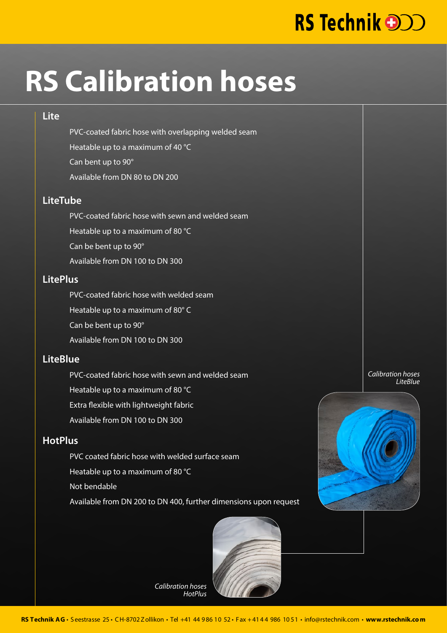## RS Technik **and**

# **RS Calibration hoses**

#### **Lite**

PVC-coated fabric hose with overlapping welded seam Heatable up to a maximum of 40 °C Can bent up to 90° Available from DN 80 to DN 200

#### **LiteTube**

PVC-coated fabric hose with sewn and welded seam Heatable up to a maximum of 80 °C Can be bent up to 90° Available from DN 100 to DN 300

#### **LitePlus**

PVC-coated fabric hose with welded seam Heatable up to a maximum of 80° C Can be bent up to 90° Available from DN 100 to DN 300

### **LiteBlue**

PVC-coated fabric hose with sewn and welded seam Heatable up to a maximum of 80 °C Extra flexible with lightweight fabric Available from DN 100 to DN 300

#### **HotPlus**

PVC coated fabric hose with welded surface seam Heatable up to a maximum of 80 °C Not bendable Available from DN 200 to DN 400, further dimensions upon request



*Calibration hoses HotPlus*